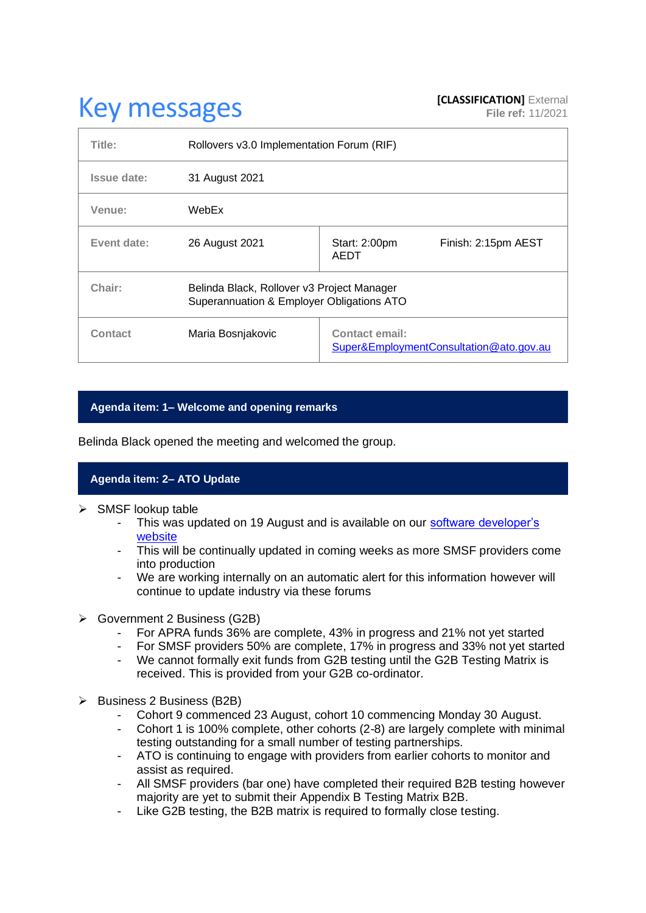# **Key messages [CLASSIFICATION]** External **[CLASSIFICATION]** External

| Title:      | Rollovers v3.0 Implementation Forum (RIF)                                               |                                                                  |
|-------------|-----------------------------------------------------------------------------------------|------------------------------------------------------------------|
| Issue date: | 31 August 2021                                                                          |                                                                  |
| Venue:      | WebEx                                                                                   |                                                                  |
| Event date: | 26 August 2021                                                                          | Finish: 2:15pm AEST<br>Start: 2:00pm<br>AEDT                     |
| Chair:      | Belinda Black, Rollover v3 Project Manager<br>Superannuation & Employer Obligations ATO |                                                                  |
| Contact     | Maria Bosnjakovic                                                                       | <b>Contact email:</b><br>Super&EmploymentConsultation@ato.gov.au |

### **Agenda item: 1– Welcome and opening remarks**

Belinda Black opened the meeting and welcomed the group.

## **Agenda item: 2– ATO Update**

- ➢ SMSF lookup table
	- This was updated on 19 August and is available on our software developer's [website](https://softwaredevelopers.ato.gov.au/supervalidationservices)
	- This will be continually updated in coming weeks as more SMSF providers come into production
	- We are working internally on an automatic alert for this information however will continue to update industry via these forums
- ➢ Government 2 Business (G2B)
	- For APRA funds 36% are complete, 43% in progress and 21% not yet started
	- For SMSF providers 50% are complete, 17% in progress and 33% not yet started
	- We cannot formally exit funds from G2B testing until the G2B Testing Matrix is received. This is provided from your G2B co-ordinator.
- ➢ Business 2 Business (B2B)
	- Cohort 9 commenced 23 August, cohort 10 commencing Monday 30 August.
	- Cohort 1 is 100% complete, other cohorts (2-8) are largely complete with minimal testing outstanding for a small number of testing partnerships.
	- ATO is continuing to engage with providers from earlier cohorts to monitor and assist as required.
	- All SMSF providers (bar one) have completed their required B2B testing however majority are yet to submit their Appendix B Testing Matrix B2B.
	- Like G2B testing, the B2B matrix is required to formally close testing.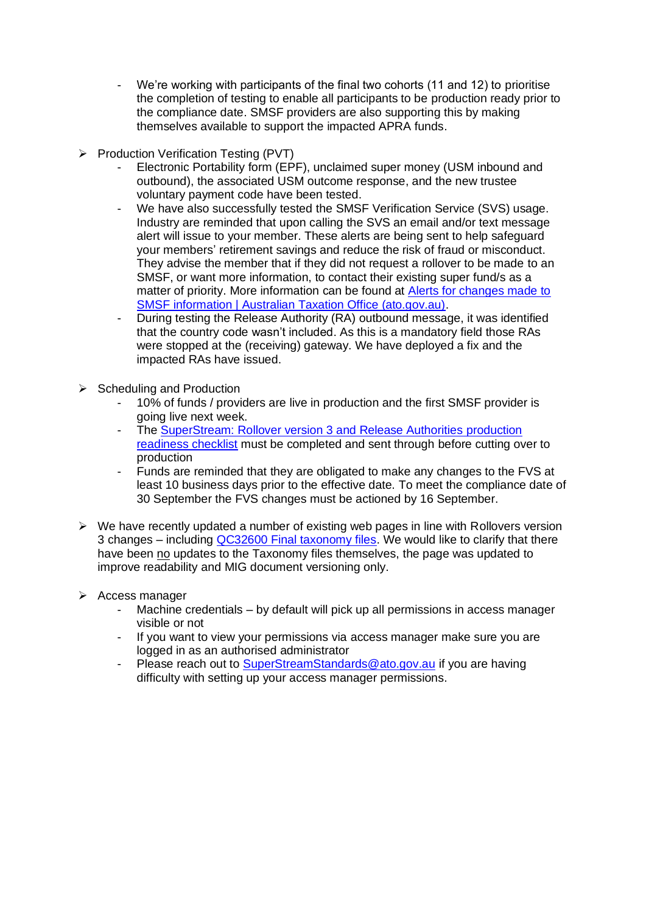- We're working with participants of the final two cohorts (11 and 12) to prioritise the completion of testing to enable all participants to be production ready prior to the compliance date. SMSF providers are also supporting this by making themselves available to support the impacted APRA funds.
- ➢ Production Verification Testing (PVT)
	- Electronic Portability form (EPF), unclaimed super money (USM inbound and outbound), the associated USM outcome response, and the new trustee voluntary payment code have been tested.
	- We have also successfully tested the SMSF Verification Service (SVS) usage. Industry are reminded that upon calling the SVS an email and/or text message alert will issue to your member. These alerts are being sent to help safeguard your members' retirement savings and reduce the risk of fraud or misconduct. They advise the member that if they did not request a rollover to be made to an SMSF, or want more information, to contact their existing super fund/s as a matter of priority. More information can be found at [Alerts for changes made to](https://www.ato.gov.au/Super/Self-managed-super-funds/In-detail/SMSF-resources/Alerts-for-changes-made-to-SMSF-information/)  [SMSF information | Australian Taxation Office \(ato.gov.au\).](https://www.ato.gov.au/Super/Self-managed-super-funds/In-detail/SMSF-resources/Alerts-for-changes-made-to-SMSF-information/)
	- During testing the Release Authority (RA) outbound message, it was identified that the country code wasn't included. As this is a mandatory field those RAs were stopped at the (receiving) gateway. We have deployed a fix and the impacted RAs have issued.
- ➢ Scheduling and Production
	- 10% of funds / providers are live in production and the first SMSF provider is going live next week.
	- The SuperStream: Rollover version 3 and Release Authorities production [readiness checklist](https://www.ato.gov.au/Super/Sup/SuperStream-Rollover-v3?anchor=SuperStreamRolloverversion3andReleaseAut#SuperStreamRolloverversion3andReleaseAut) must be completed and sent through before cutting over to production
	- Funds are reminded that they are obligated to make any changes to the FVS at least 10 business days prior to the effective date. To meet the compliance date of 30 September the FVS changes must be actioned by 16 September.
- $\triangleright$  We have recently updated a number of existing web pages in line with Rollovers version 3 changes – including [QC32600 Final taxonomy files.](https://www.ato.gov.au/Super/SuperStream/In-detail/Guidance/Taxonomy-files/) We would like to clarify that there have been no updates to the Taxonomy files themselves, the page was updated to improve readability and MIG document versioning only.
- ➢ Access manager
	- Machine credentials by default will pick up all permissions in access manager visible or not
	- If you want to view your permissions via access manager make sure you are logged in as an authorised administrator
	- Please reach out to [SuperStreamStandards@ato.gov.au](mailto:SuperStreamStandards@ato.gov.au) if you are having difficulty with setting up your access manager permissions.